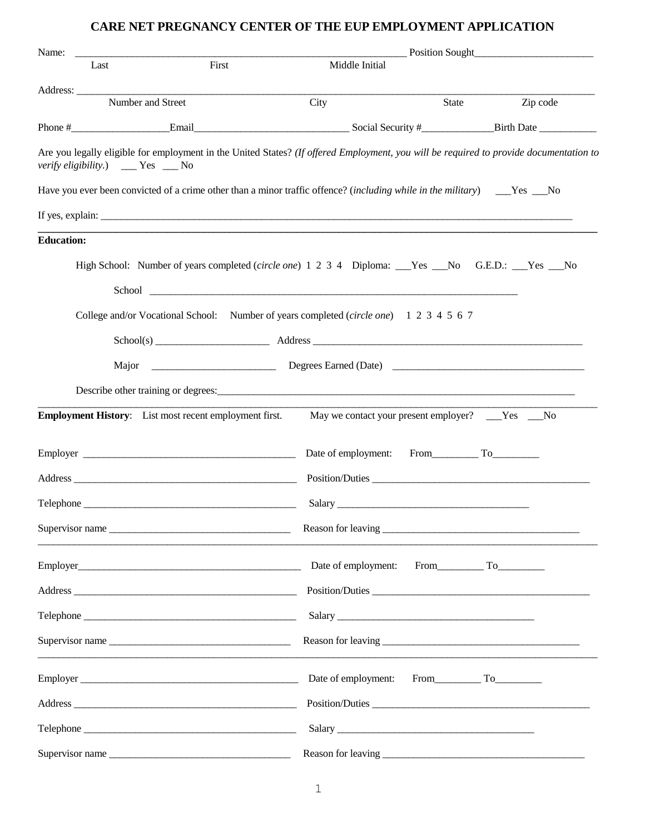## **CARE NET PREGNANCY CENTER OF THE EUP EMPLOYMENT APPLICATION**

| Name:             |                                                               |       | Position Sought                                                                                                                                                                                                                |       |          |
|-------------------|---------------------------------------------------------------|-------|--------------------------------------------------------------------------------------------------------------------------------------------------------------------------------------------------------------------------------|-------|----------|
|                   | Last                                                          | First | Middle Initial                                                                                                                                                                                                                 |       |          |
|                   |                                                               |       |                                                                                                                                                                                                                                |       |          |
|                   | Number and Street                                             |       | City                                                                                                                                                                                                                           | State | Zip code |
|                   |                                                               |       |                                                                                                                                                                                                                                |       |          |
|                   | <i>verify eligibility.</i> ) ___ Yes __ No                    |       | Are you legally eligible for employment in the United States? (If offered Employment, you will be required to provide documentation to                                                                                         |       |          |
|                   |                                                               |       | Have you ever been convicted of a crime other than a minor traffic offence? (including while in the military) _____Yes ___No                                                                                                   |       |          |
|                   |                                                               |       |                                                                                                                                                                                                                                |       |          |
| <b>Education:</b> |                                                               |       |                                                                                                                                                                                                                                |       |          |
|                   |                                                               |       | High School: Number of years completed (circle one) 1 2 3 4 Diploma: Nes Mo G.E.D.: Yes No                                                                                                                                     |       |          |
|                   |                                                               |       | College and/or Vocational School: Number of years completed (circle one) 1 2 3 4 5 6 7                                                                                                                                         |       |          |
|                   |                                                               |       | School(s) Address Address Address Address Address Address Address Address Address Address Address Address Address Address Address Address Address Address Address Address Address Address Address Address Address Address Addr |       |          |
|                   |                                                               |       |                                                                                                                                                                                                                                |       |          |
|                   |                                                               |       |                                                                                                                                                                                                                                |       |          |
|                   | <b>Employment History:</b> List most recent employment first. |       | May we contact your present employer? ___Yes ___No                                                                                                                                                                             |       |          |
|                   |                                                               |       |                                                                                                                                                                                                                                |       |          |
|                   |                                                               |       |                                                                                                                                                                                                                                |       |          |
|                   |                                                               |       |                                                                                                                                                                                                                                |       |          |
|                   |                                                               |       |                                                                                                                                                                                                                                |       |          |
|                   |                                                               |       |                                                                                                                                                                                                                                |       |          |
|                   |                                                               |       |                                                                                                                                                                                                                                |       |          |
|                   |                                                               |       |                                                                                                                                                                                                                                |       |          |
|                   |                                                               |       |                                                                                                                                                                                                                                |       |          |
|                   |                                                               |       |                                                                                                                                                                                                                                |       |          |
|                   |                                                               |       |                                                                                                                                                                                                                                |       |          |
|                   |                                                               |       |                                                                                                                                                                                                                                |       |          |
|                   | Supervisor name                                               |       |                                                                                                                                                                                                                                |       |          |